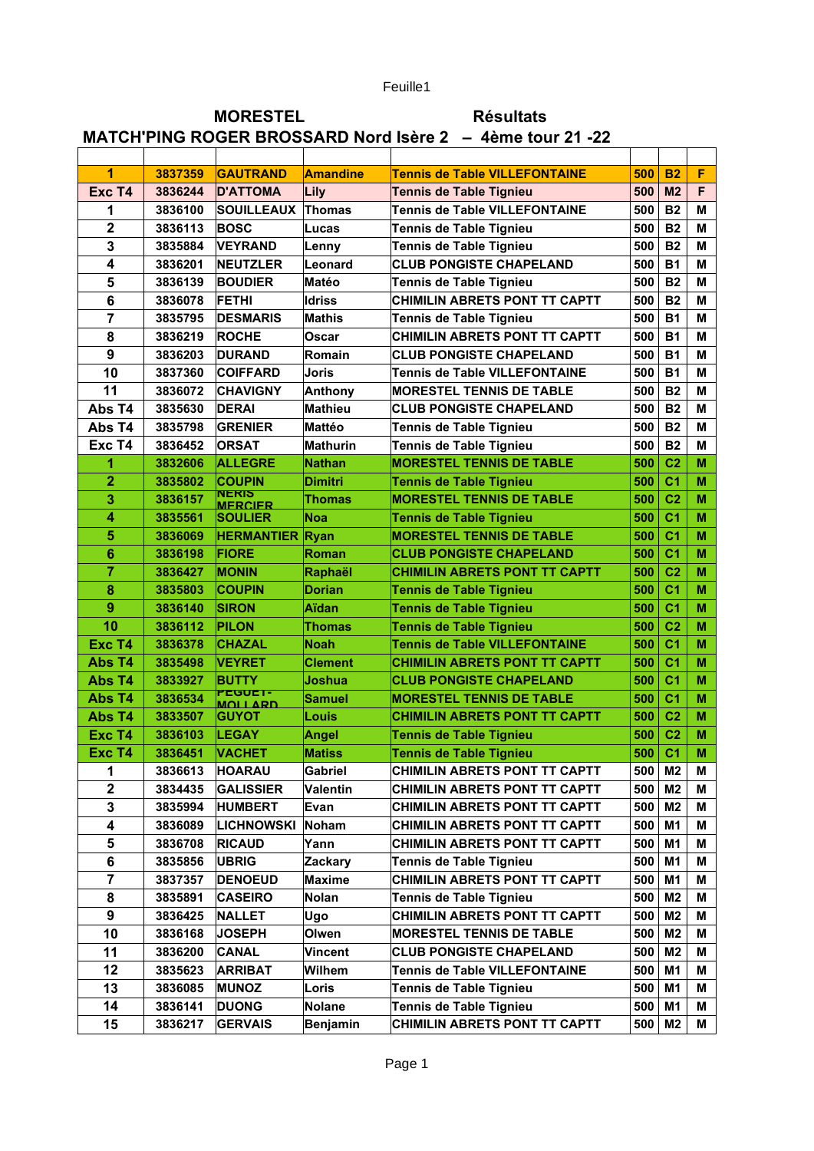Feuille1

## MORESTEL Résultats MATCH'PING ROGER BROSSARD Nord Isère 2 – 4ème tour 21 -22

| $\overline{1}$          | 3837359 | <b>GAUTRAND</b>           | <b>Amandine</b> | <b>Tennis de Table VILLEFONTAINE</b> | 500           | <b>B2</b>      | F           |
|-------------------------|---------|---------------------------|-----------------|--------------------------------------|---------------|----------------|-------------|
| Exc T4                  | 3836244 | <b>D'ATTOMA</b>           | Lily            | <b>Tennis de Table Tignieu</b>       | 500           | M <sub>2</sub> | F           |
| 1                       | 3836100 | <b>SOUILLEAUX</b>         | <b>Thomas</b>   | <b>Tennis de Table VILLEFONTAINE</b> | 500           | <b>B2</b>      | м           |
| $\overline{\mathbf{2}}$ | 3836113 | <b>BOSC</b>               | Lucas           | Tennis de Table Tignieu              | 500           | <b>B2</b>      | M           |
| 3                       | 3835884 | <b>VEYRAND</b>            | Lenny           | <b>Tennis de Table Tignieu</b>       | 500           | <b>B2</b>      | м           |
| $\overline{\mathbf{4}}$ | 3836201 | <b>NEUTZLER</b>           | Leonard         | <b>CLUB PONGISTE CHAPELAND</b>       | 500           | <b>B1</b>      | м           |
| 5                       | 3836139 | <b>BOUDIER</b>            | Matéo           | <b>Tennis de Table Tignieu</b>       | 500           | <b>B2</b>      | м           |
| 6                       | 3836078 | <b>FETHI</b>              | <b>Idriss</b>   | CHIMILIN ABRETS PONT TT CAPTT        | 500           | <b>B2</b>      | м           |
| $\overline{7}$          | 3835795 | <b>DESMARIS</b>           | Mathis          | Tennis de Table Tignieu              | 500           | <b>B1</b>      | М           |
| 8                       | 3836219 | <b>ROCHE</b>              | Oscar           | CHIMILIN ABRETS PONT TT CAPTT        | 500           | <b>B1</b>      | M           |
| 9                       | 3836203 | <b>DURAND</b>             | Romain          | <b>CLUB PONGISTE CHAPELAND</b>       | 500           | <b>B1</b>      | M           |
| 10                      | 3837360 | <b>COIFFARD</b>           | Joris           | <b>Tennis de Table VILLEFONTAINE</b> | 500           | <b>B1</b>      | М           |
| 11                      | 3836072 | <b>CHAVIGNY</b>           | Anthony         | <b>MORESTEL TENNIS DE TABLE</b>      | 500           | <b>B2</b>      | M           |
| Abs T4                  | 3835630 | <b>DERAI</b>              | <b>Mathieu</b>  | <b>CLUB PONGISTE CHAPELAND</b>       | 500           | <b>B2</b>      | M           |
| Abs T4                  | 3835798 | <b>GRENIER</b>            | Mattéo          | Tennis de Table Tignieu              | 500           | <b>B2</b>      | М           |
| Exc T4                  | 3836452 | <b>ORSAT</b>              | Mathurin        | <b>Tennis de Table Tignieu</b>       | 500           | <b>B2</b>      | М           |
| 1                       | 3832606 | <b>ALLEGRE</b>            | <b>Nathan</b>   | <b>MORESTEL TENNIS DE TABLE</b>      | 500           | C <sub>2</sub> | м           |
| $\overline{2}$          | 3835802 | <b>COUPIN</b>             | <b>Dimitri</b>  | <b>Tennis de Table Tignieu</b>       | 500           | C <sub>1</sub> | м           |
| 3                       | 3836157 | NERIS<br><b>MERCIER</b>   | Thomas          | <b>MORESTEL TENNIS DE TABLE</b>      | 500           | C <sub>2</sub> | м           |
| 4                       | 3835561 | <b>SOULIER</b>            | Noa             | <b>Tennis de Table Tignieu</b>       | 500           | C <sub>1</sub> | м           |
| 5                       | 3836069 | <b>HERMANTIER Ryan</b>    |                 | <b>MORESTEL TENNIS DE TABLE</b>      | 500           | C <sub>1</sub> | M           |
| 6                       | 3836198 | <b>FIORE</b>              | Roman           | <b>CLUB PONGISTE CHAPELAND</b>       | 500           | C <sub>1</sub> | м           |
| 7                       | 3836427 | <b>MONIN</b>              | Raphaël         | <b>CHIMILIN ABRETS PONT TT CAPTT</b> | 500           | C <sub>2</sub> | м           |
| 8                       | 3835803 | <b>COUPIN</b>             | Dorian          | <b>Tennis de Table Tignieu</b>       | 500           | C <sub>1</sub> | м           |
| 9                       | 3836140 | <b>SIRON</b>              | <b>Aïdan</b>    | <b>Tennis de Table Tignieu</b>       | 500           | C <sub>1</sub> | м           |
| 10                      | 3836112 | <b>PILON</b>              | Thomas          | <b>Tennis de Table Tignieu</b>       | 500           | C <sub>2</sub> | M           |
| Exc T4                  | 3836378 | <b>CHAZAL</b>             | <b>Noah</b>     | <b>Tennis de Table VILLEFONTAINE</b> | 500           | C <sub>1</sub> | M           |
| Abs T4                  | 3835498 | <b>VEYRET</b>             | <b>Clement</b>  | <b>CHIMILIN ABRETS PONT TT CAPTT</b> | 500           | C <sub>1</sub> | м           |
| Abs T4                  | 3833927 | <b>BUTTY</b>              | Joshua          | <b>CLUB PONGISTE CHAPELAND</b>       | 500           | C <sub>1</sub> | м           |
| Abs T4                  | 3836534 | PEGUET-<br><b>MOLLARD</b> | Samuel          | <b>MORESTEL TENNIS DE TABLE</b>      | 500           | C1             | м           |
| Abs T4                  | 3833507 | <b>IGUYOT</b>             | Louis           | <b>CHIMILIN ABRETS PONT TT CAPTT</b> | 500           | C <sub>2</sub> | M           |
| Exc T4                  | 3836103 | <b>LEGAY</b>              | Angel           | <b>Tennis de Table Tignieu</b>       | 500           | C <sub>2</sub> | M           |
| Exc T4                  | 3836451 | <b>VACHET</b>             | <b>Matiss</b>   | <b>Tennis de Table Tignieu</b>       |               | $500$ C1       | $\mathbf M$ |
| 1                       | 3836613 | <b>HOARAU</b>             | Gabriel         | CHIMILIN ABRETS PONT TT CAPTT        | $500 \mid M2$ |                | м           |
| $\mathbf 2$             | 3834435 | GALISSIER                 | Valentin        | <b>CHIMILIN ABRETS PONT TT CAPTT</b> | 500           | M <sub>2</sub> | м           |
| 3                       | 3835994 | <b>HUMBERT</b>            | Evan            | <b>CHIMILIN ABRETS PONT TT CAPTT</b> | 500           | M2             | м           |
| 4                       | 3836089 | LICHNOWSKI                | <b>Noham</b>    | CHIMILIN ABRETS PONT TT CAPTT        | 500           | M1             | М           |
| 5                       | 3836708 | <b>RICAUD</b>             | Yann            | CHIMILIN ABRETS PONT TT CAPTT        | 500           | M1             | М           |
| 6                       | 3835856 | <b>UBRIG</b>              | Zackary         | Tennis de Table Tignieu              | 500           | M1             | М           |
| 7                       | 3837357 | <b>DENOEUD</b>            | <b>Maxime</b>   | CHIMILIN ABRETS PONT TT CAPTT        | 500           | M <sub>1</sub> | М           |
| 8                       | 3835891 | <b>CASEIRO</b>            | Nolan           | <b>Tennis de Table Tignieu</b>       | 500           | M2             | м           |
| 9                       | 3836425 | <b>NALLET</b>             | Ugo             | CHIMILIN ABRETS PONT TT CAPTT        | 500           | M2             | М           |
| 10                      | 3836168 | <b>JOSEPH</b>             | Olwen           | <b>MORESTEL TENNIS DE TABLE</b>      | 500           | M <sub>2</sub> | м           |
| 11                      | 3836200 | <b>CANAL</b>              | Vincent         | <b>CLUB PONGISTE CHAPELAND</b>       | 500           | M <sub>2</sub> | м           |
| 12                      | 3835623 | <b>ARRIBAT</b>            | Wilhem          | <b>Tennis de Table VILLEFONTAINE</b> | 500           | M <sub>1</sub> | М           |
| 13                      | 3836085 | <b>MUNOZ</b>              | Loris           | <b>Tennis de Table Tignieu</b>       | 500           | M1             | М           |
| 14                      | 3836141 | <b>DUONG</b>              | <b>Nolane</b>   | Tennis de Table Tignieu              | 500           | M1             | М           |
| 15                      | 3836217 | <b>GERVAIS</b>            | <b>Benjamin</b> | CHIMILIN ABRETS PONT TT CAPTT        | 500           | M <sub>2</sub> | М           |